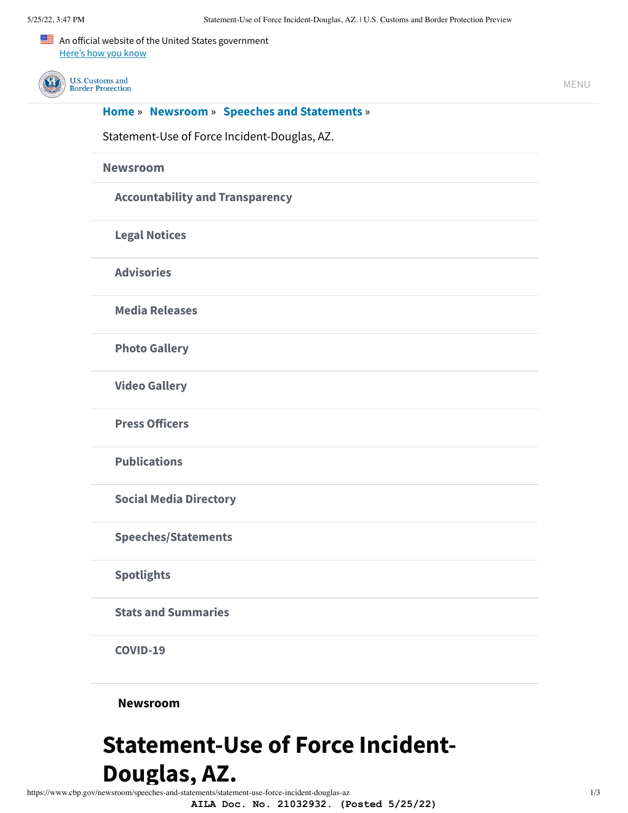

## **Statement-Use of Force Incident-**Douglas, AZ.

<span id="page-0-0"></span>https://www.cbp.gov/newsroom/speeches-and-statements/statement-use-force-incident-douglas-az

AILA Doc. No. 21032932. (Posted 5/25/22)

 $1/3$